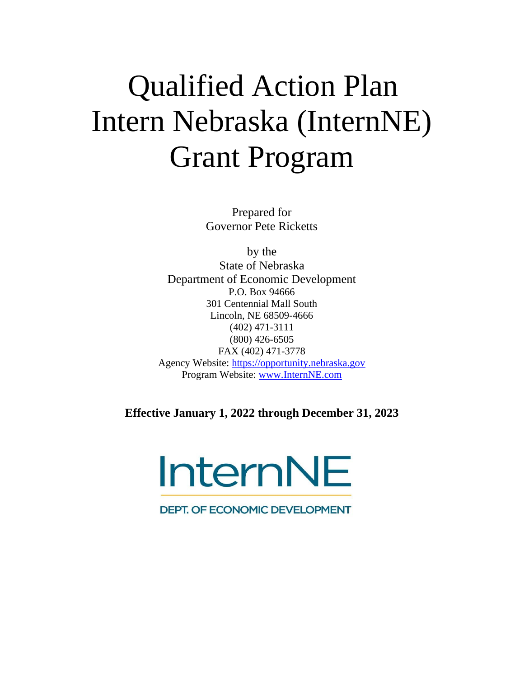# Qualified Action Plan Intern Nebraska (InternNE) Grant Program

Prepared for Governor Pete Ricketts

by the State of Nebraska Department of Economic Development P.O. Box 94666 301 Centennial Mall South Lincoln, NE 68509-4666 (402) 471-3111 (800) 426-6505 FAX (402) 471-3778 Agency Website: [https://opportunity.nebraska.gov](https://opportunity.nebraska.gov/) Program Website: [www.InternNE.com](http://www.internne.com/)

**Effective January 1, 2022 through December 31, 2023**



**DEPT. OF ECONOMIC DEVELOPMENT**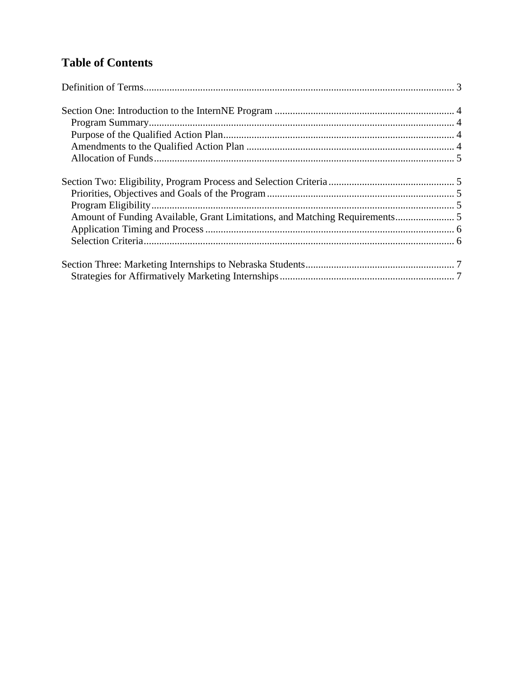# **Table of Contents**

| Amount of Funding Available, Grant Limitations, and Matching Requirements 5 |  |
|-----------------------------------------------------------------------------|--|
|                                                                             |  |
|                                                                             |  |
|                                                                             |  |
|                                                                             |  |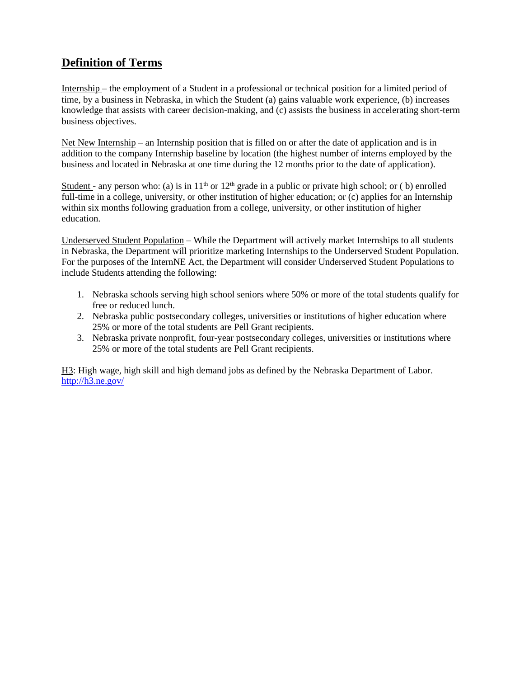# <span id="page-2-0"></span>**Definition of Terms**

Internship – the employment of a Student in a professional or technical position for a limited period of time, by a business in Nebraska, in which the Student (a) gains valuable work experience, (b) increases knowledge that assists with career decision-making, and (c) assists the business in accelerating short-term business objectives.

Net New Internship – an Internship position that is filled on or after the date of application and is in addition to the company Internship baseline by location (the highest number of interns employed by the business and located in Nebraska at one time during the 12 months prior to the date of application).

Student - any person who: (a) is in  $11<sup>th</sup>$  or  $12<sup>th</sup>$  grade in a public or private high school; or (b) enrolled full-time in a college, university, or other institution of higher education; or (c) applies for an Internship within six months following graduation from a college, university, or other institution of higher education.

Underserved Student Population – While the Department will actively market Internships to all students in Nebraska, the Department will prioritize marketing Internships to the Underserved Student Population. For the purposes of the InternNE Act, the Department will consider Underserved Student Populations to include Students attending the following:

- 1. Nebraska schools serving high school seniors where 50% or more of the total students qualify for free or reduced lunch.
- 2. Nebraska public postsecondary colleges, universities or institutions of higher education where 25% or more of the total students are Pell Grant recipients.
- 3. Nebraska private nonprofit, four-year postsecondary colleges, universities or institutions where 25% or more of the total students are Pell Grant recipients.

H3: High wage, high skill and high demand jobs as defined by the Nebraska Department of Labor. <http://h3.ne.gov/>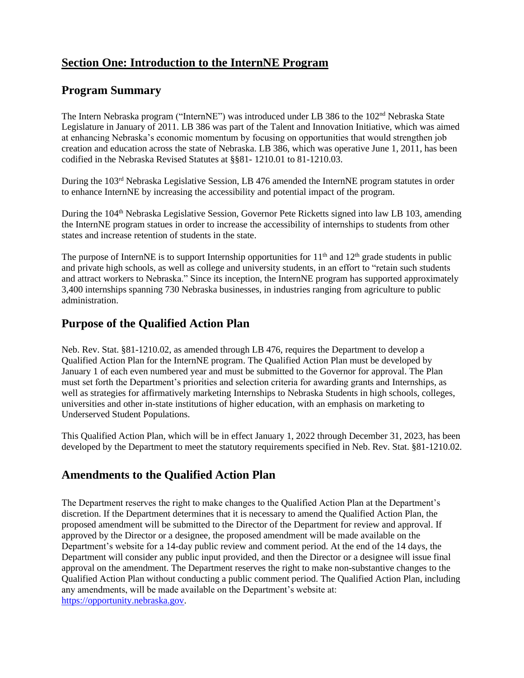# <span id="page-3-0"></span>**Section One: Introduction to the InternNE Program**

#### <span id="page-3-1"></span>**Program Summary**

The Intern Nebraska program ("InternNE") was introduced under LB 386 to the 102<sup>nd</sup> Nebraska State Legislature in January of 2011. LB 386 was part of the Talent and Innovation Initiative, which was aimed at enhancing Nebraska's economic momentum by focusing on opportunities that would strengthen job creation and education across the state of Nebraska. LB 386, which was operative June 1, 2011, has been codified in the Nebraska Revised Statutes at §§81- 1210.01 to 81-1210.03.

During the 103<sup>rd</sup> Nebraska Legislative Session, LB 476 amended the InternNE program statutes in order to enhance InternNE by increasing the accessibility and potential impact of the program.

During the 104<sup>th</sup> Nebraska Legislative Session, Governor Pete Ricketts signed into law LB 103, amending the InternNE program statues in order to increase the accessibility of internships to students from other states and increase retention of students in the state.

The purpose of InternNE is to support Internship opportunities for  $11<sup>th</sup>$  and  $12<sup>th</sup>$  grade students in public and private high schools, as well as college and university students, in an effort to "retain such students and attract workers to Nebraska." Since its inception, the InternNE program has supported approximately 3,400 internships spanning 730 Nebraska businesses, in industries ranging from agriculture to public administration.

#### <span id="page-3-2"></span>**Purpose of the Qualified Action Plan**

Neb. Rev. Stat. §81-1210.02, as amended through LB 476, requires the Department to develop a Qualified Action Plan for the InternNE program. The Qualified Action Plan must be developed by January 1 of each even numbered year and must be submitted to the Governor for approval. The Plan must set forth the Department's priorities and selection criteria for awarding grants and Internships, as well as strategies for affirmatively marketing Internships to Nebraska Students in high schools, colleges, universities and other in-state institutions of higher education, with an emphasis on marketing to Underserved Student Populations.

This Qualified Action Plan, which will be in effect January 1, 2022 through December 31, 2023, has been developed by the Department to meet the statutory requirements specified in Neb. Rev. Stat. §81-1210.02.

# <span id="page-3-3"></span>**Amendments to the Qualified Action Plan**

The Department reserves the right to make changes to the Qualified Action Plan at the Department's discretion. If the Department determines that it is necessary to amend the Qualified Action Plan, the proposed amendment will be submitted to the Director of the Department for review and approval. If approved by the Director or a designee, the proposed amendment will be made available on the Department's website for a 14-day public review and comment period. At the end of the 14 days, the Department will consider any public input provided, and then the Director or a designee will issue final approval on the amendment. The Department reserves the right to make non-substantive changes to the Qualified Action Plan without conducting a public comment period. The Qualified Action Plan, including any amendments, will be made available on the Department's website at: [https://opportunity.nebraska.gov.](https://opportunity.nebraska.gov/)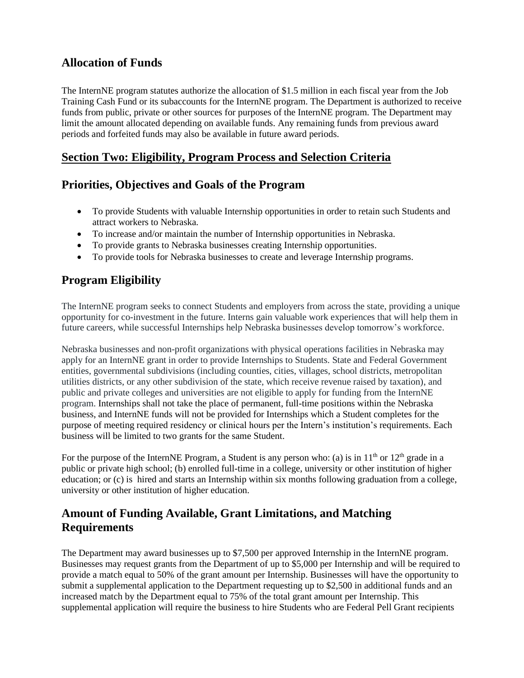# <span id="page-4-0"></span>**Allocation of Funds**

The InternNE program statutes authorize the allocation of \$1.5 million in each fiscal year from the Job Training Cash Fund or its subaccounts for the InternNE program. The Department is authorized to receive funds from public, private or other sources for purposes of the InternNE program. The Department may limit the amount allocated depending on available funds. Any remaining funds from previous award periods and forfeited funds may also be available in future award periods.

# <span id="page-4-1"></span>**Section Two: Eligibility, Program Process and Selection Criteria**

# <span id="page-4-2"></span>**Priorities, Objectives and Goals of the Program**

- To provide Students with valuable Internship opportunities in order to retain such Students and attract workers to Nebraska.
- To increase and/or maintain the number of Internship opportunities in Nebraska.
- To provide grants to Nebraska businesses creating Internship opportunities.
- To provide tools for Nebraska businesses to create and leverage Internship programs.

# <span id="page-4-3"></span>**Program Eligibility**

The InternNE program seeks to connect Students and employers from across the state, providing a unique opportunity for co-investment in the future. Interns gain valuable work experiences that will help them in future careers, while successful Internships help Nebraska businesses develop tomorrow's workforce.

Nebraska businesses and non-profit organizations with physical operations facilities in Nebraska may apply for an InternNE grant in order to provide Internships to Students. State and Federal Government entities, governmental subdivisions (including counties, cities, villages, school districts, metropolitan utilities districts, or any other subdivision of the state, which receive revenue raised by taxation), and public and private colleges and universities are not eligible to apply for funding from the InternNE program. Internships shall not take the place of permanent, full-time positions within the Nebraska business, and InternNE funds will not be provided for Internships which a Student completes for the purpose of meeting required residency or clinical hours per the Intern's institution's requirements. Each business will be limited to two grants for the same Student.

For the purpose of the InternNE Program, a Student is any person who: (a) is in  $11<sup>th</sup>$  or  $12<sup>th</sup>$  grade in a public or private high school; (b) enrolled full-time in a college, university or other institution of higher education; or (c) is hired and starts an Internship within six months following graduation from a college, university or other institution of higher education.

#### <span id="page-4-4"></span>**Amount of Funding Available, Grant Limitations, and Matching Requirements**

The Department may award businesses up to \$7,500 per approved Internship in the InternNE program. Businesses may request grants from the Department of up to \$5,000 per Internship and will be required to provide a match equal to 50% of the grant amount per Internship. Businesses will have the opportunity to submit a supplemental application to the Department requesting up to \$2,500 in additional funds and an increased match by the Department equal to 75% of the total grant amount per Internship. This supplemental application will require the business to hire Students who are Federal Pell Grant recipients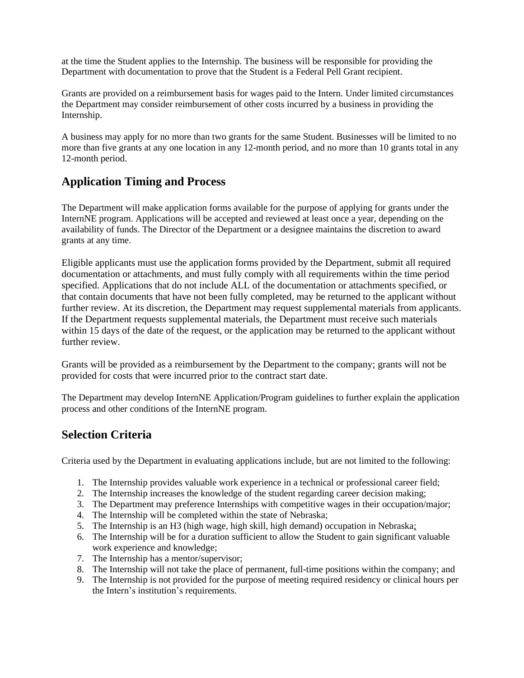at the time the Student applies to the Internship. The business will be responsible for providing the Department with documentation to prove that the Student is a Federal Pell Grant recipient.

Grants are provided on a reimbursement basis for wages paid to the Intern. Under limited circumstances the Department may consider reimbursement of other costs incurred by a business in providing the Internship.

A business may apply for no more than two grants for the same Student. Businesses will be limited to no more than five grants at any one location in any 12-month period, and no more than 10 grants total in any 12-month period.

#### <span id="page-5-0"></span>**Application Timing and Process**

The Department will make application forms available for the purpose of applying for grants under the InternNE program. Applications will be accepted and reviewed at least once a year, depending on the availability of funds. The Director of the Department or a designee maintains the discretion to award grants at any time.

Eligible applicants must use the application forms provided by the Department, submit all required documentation or attachments, and must fully comply with all requirements within the time period specified. Applications that do not include ALL of the documentation or attachments specified, or that contain documents that have not been fully completed, may be returned to the applicant without further review. At its discretion, the Department may request supplemental materials from applicants. If the Department requests supplemental materials, the Department must receive such materials within 15 days of the date of the request, or the application may be returned to the applicant without further review.

Grants will be provided as a reimbursement by the Department to the company; grants will not be provided for costs that were incurred prior to the contract start date.

The Department may develop InternNE Application/Program guidelines to further explain the application process and other conditions of the InternNE program.

#### <span id="page-5-1"></span>**Selection Criteria**

Criteria used by the Department in evaluating applications include, but are not limited to the following:

- 1. The Internship provides valuable work experience in a technical or professional career field;
- 2. The Internship increases the knowledge of the student regarding career decision making;
- 3. The Department may preference Internships with competitive wages in their occupation/major;
- 4. The Internship will be completed within the state of Nebraska;
- 5. The Internship is an H3 (high wage, high skill, high demand) occupation in Nebraska;
- 6. The Internship will be for a duration sufficient to allow the Student to gain significant valuable work experience and knowledge;
- 7. The Internship has a mentor/supervisor;
- 8. The Internship will not take the place of permanent, full-time positions within the company; and
- 9. The Internship is not provided for the purpose of meeting required residency or clinical hours per the Intern's institution's requirements.